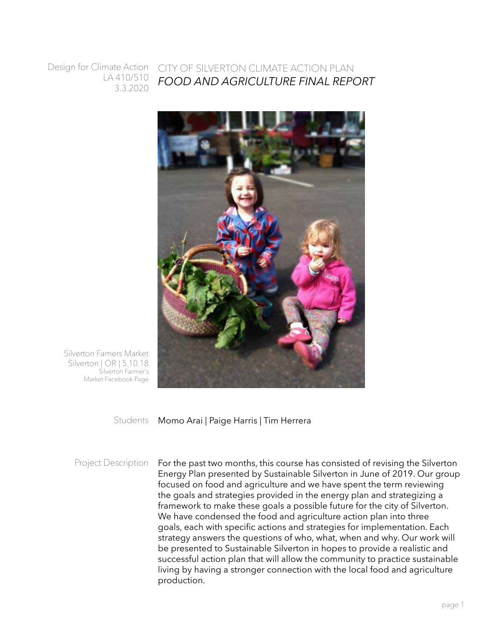Design for Climate Action LA 410/510 3.3.2020

## CITY OF SILVERTON CLIMATE ACTION PLAN *FOOD AND AGRICULTURE FINAL REPORT*



Silverton Famers Market Silverton | OR | 5.10.18 Silverton Farmer's Market Facebook Page

Students Momo Arai | Paige Harris | Tim Herrera

Project Description For the past two months, this course has consisted of revising the Silverton Energy Plan presented by Sustainable Silverton in June of 2019. Our group focused on food and agriculture and we have spent the term reviewing the goals and strategies provided in the energy plan and strategizing a framework to make these goals a possible future for the city of Silverton. We have condensed the food and agriculture action plan into three goals, each with specific actions and strategies for implementation. Each strategy answers the questions of who, what, when and why. Our work will be presented to Sustainable Silverton in hopes to provide a realistic and successful action plan that will allow the community to practice sustainable living by having a stronger connection with the local food and agriculture production.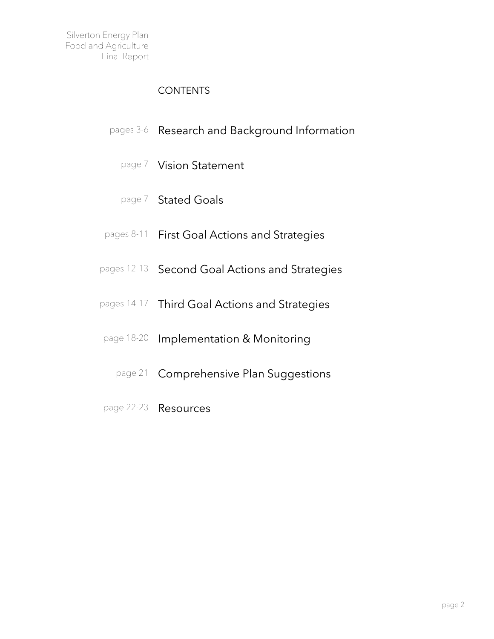## **CONTENTS**

- pages 3-6 Research and Background Information
	- page 7 Vision Statement
	- page 7 Stated Goals
- pages 8-11 First Goal Actions and Strategies
- pages 12-13 Second Goal Actions and Strategies
- pages 14-17 Third Goal Actions and Strategies
- page 18-20 Implementation & Monitoring
	- page 21 Comprehensive Plan Suggestions
- page 22-23 Resources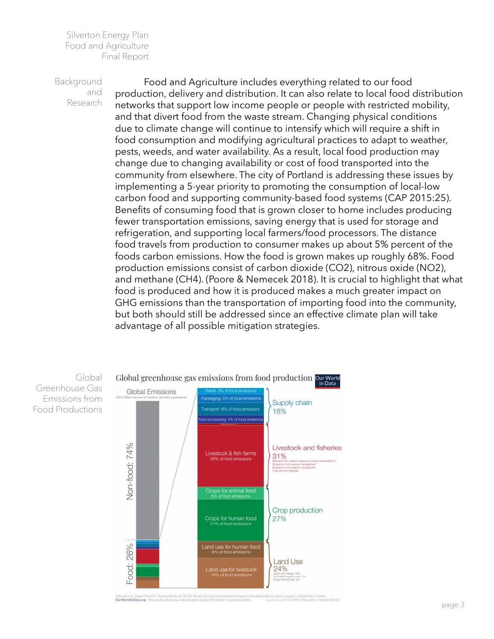**Background** and Research

Food and Agriculture includes everything related to our food production, delivery and distribution. It can also relate to local food distribution networks that support low income people or people with restricted mobility, and that divert food from the waste stream. Changing physical conditions due to climate change will continue to intensify which will require a shift in food consumption and modifying agricultural practices to adapt to weather, pests, weeds, and water availability. As a result, local food production may change due to changing availability or cost of food transported into the community from elsewhere. The city of Portland is addressing these issues by implementing a 5-year priority to promoting the consumption of local-low carbon food and supporting community-based food systems (CAP 2015:25). Benefits of consuming food that is grown closer to home includes producing fewer transportation emissions, saving energy that is used for storage and refrigeration, and supporting local farmers/food processors. The distance food travels from production to consumer makes up about 5% percent of the foods carbon emissions. How the food is grown makes up roughly 68%. Food production emissions consist of carbon dioxide (CO2), nitrous oxide (NO2), and methane (CH4). (Poore & Nemecek 2018). It is crucial to highlight that what food is produced and how it is produced makes a much greater impact on GHG emissions than the transportation of importing food into the community, but both should still be addressed since an effective climate plan will take advantage of all possible mitigation strategies.

Global Greenhouse Gas Emissions from Food Productions



Data source: Joseph Poore & Thomas Nemecel: (2018). Reducing food's environmental impacts<br>OurWorldInData.org - Research and data to make progress against the world's largest problem gh producers and consomers. Published in Science.<br>Licensed under CC-BY by the author Hannah Ritchie.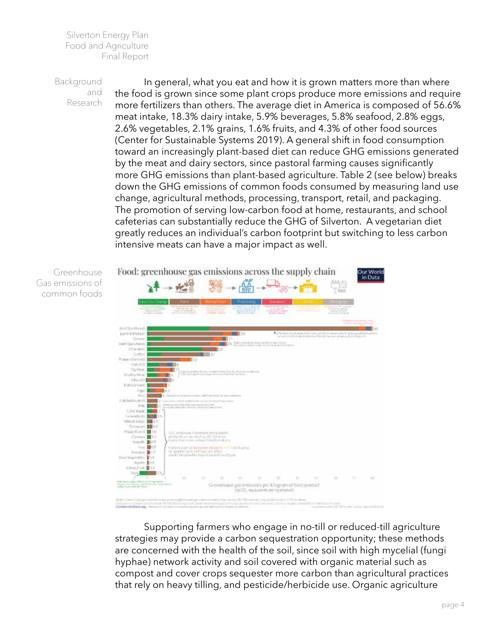Background and Research

In general, what you eat and how it is grown matters more than where the food is grown since some plant crops produce more emissions and require more fertilizers than others. The average diet in America is composed of 56.6% meat intake, 18.3% dairy intake, 5.9% beverages, 5.8% seafood, 2.8% eggs, 2.6% vegetables, 2.1% grains, 1.6% fruits, and 4.3% of other food sources (Center for Sustainable Systems 2019). A general shift in food consumption toward an increasingly plant-based diet can reduce GHG emissions generated by the meat and dairy sectors, since pastoral farming causes significantly more GHG emissions than plant-based agriculture. Table 2 (see below) breaks down the GHG emissions of common foods consumed by measuring land use change, agricultural methods, processing, transport, retail, and packaging. The promotion of serving low-carbon food at home, restaurants, and school cafeterias can substantially reduce the GHG of Silverton. A vegetarian diet greatly reduces an individual's carbon footprint but switching to less carbon intensive meats can have a major impact as well.



Supporting farmers who engage in no-till or reduced-till agriculture strategies may provide a carbon sequestration opportunity; these methods are concerned with the health of the soil, since soil with high mycelial (fungi hyphae) network activity and soil covered with organic material such as compost and cover crops sequester more carbon than agricultural practices that rely on heavy tilling, and pesticide/herbicide use. Organic agriculture

Greenhouse Gas emissions of common foods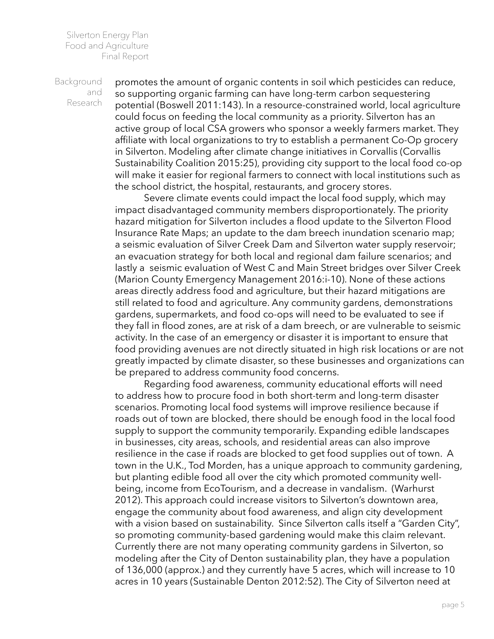**Background** and Research

promotes the amount of organic contents in soil which pesticides can reduce, so supporting organic farming can have long-term carbon sequestering potential (Boswell 2011:143). In a resource-constrained world, local agriculture could focus on feeding the local community as a priority. Silverton has an active group of local CSA growers who sponsor a weekly farmers market. They affiliate with local organizations to try to establish a permanent Co-Op grocery in Silverton. Modeling after climate change initiatives in Corvallis (Corvallis Sustainability Coalition 2015:25), providing city support to the local food co-op will make it easier for regional farmers to connect with local institutions such as the school district, the hospital, restaurants, and grocery stores.

Severe climate events could impact the local food supply, which may impact disadvantaged community members disproportionately. The priority hazard mitigation for Silverton includes a flood update to the Silverton Flood Insurance Rate Maps; an update to the dam breech inundation scenario map; a seismic evaluation of Silver Creek Dam and Silverton water supply reservoir; an evacuation strategy for both local and regional dam failure scenarios; and lastly a seismic evaluation of West C and Main Street bridges over Silver Creek (Marion County Emergency Management 2016:i-10). None of these actions areas directly address food and agriculture, but their hazard mitigations are still related to food and agriculture. Any community gardens, demonstrations gardens, supermarkets, and food co-ops will need to be evaluated to see if they fall in flood zones, are at risk of a dam breech, or are vulnerable to seismic activity. In the case of an emergency or disaster it is important to ensure that food providing avenues are not directly situated in high risk locations or are not greatly impacted by climate disaster, so these businesses and organizations can be prepared to address community food concerns.

Regarding food awareness, community educational efforts will need to address how to procure food in both short-term and long-term disaster scenarios. Promoting local food systems will improve resilience because if roads out of town are blocked, there should be enough food in the local food supply to support the community temporarily. Expanding edible landscapes in businesses, city areas, schools, and residential areas can also improve resilience in the case if roads are blocked to get food supplies out of town. A town in the U.K., Tod Morden, has a unique approach to community gardening, but planting edible food all over the city which promoted community wellbeing, income from EcoTourism, and a decrease in vandalism. (Warhurst 2012). This approach could increase visitors to Silverton's downtown area, engage the community about food awareness, and align city development with a vision based on sustainability. Since Silverton calls itself a "Garden City", so promoting community-based gardening would make this claim relevant. Currently there are not many operating community gardens in Silverton, so modeling after the City of Denton sustainability plan, they have a population of 136,000 (approx.) and they currently have 5 acres, which will increase to 10 acres in 10 years (Sustainable Denton 2012:52). The City of Silverton need at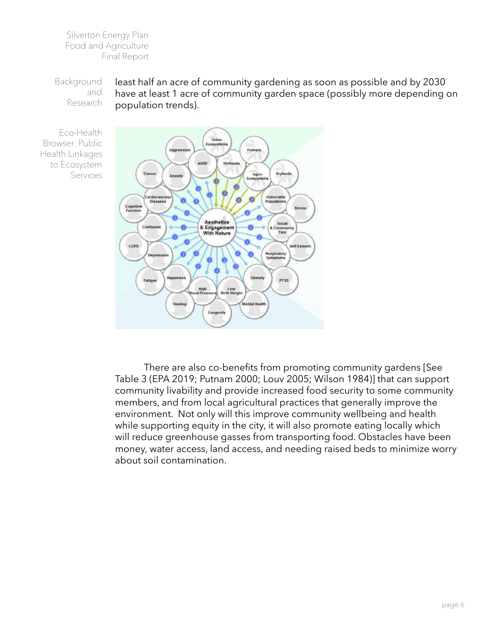**Background** and Research least half an acre of community gardening as soon as possible and by 2030 have at least 1 acre of community garden space (possibly more depending on population trends).

Eco-Health Browser: Public Health Linkages to Ecosystem Services



There are also co-benefits from promoting community gardens [See Table 3 (EPA 2019; Putnam 2000; Louv 2005; Wilson 1984)] that can support community livability and provide increased food security to some community members, and from local agricultural practices that generally improve the environment. Not only will this improve community wellbeing and health while supporting equity in the city, it will also promote eating locally which will reduce greenhouse gasses from transporting food. Obstacles have been money, water access, land access, and needing raised beds to minimize worry about soil contamination.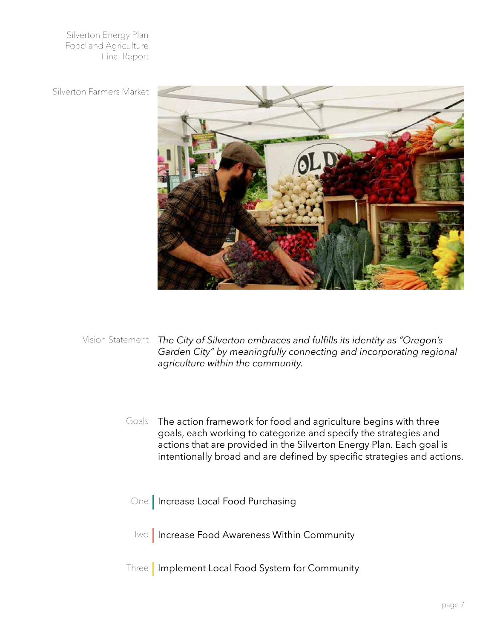Silverton Farmers Market



Vision Statement *The City of Silverton embraces and fulfills its identity as "Oregon's Garden City" by meaningfully connecting and incorporating regional agriculture within the community.* 

- Goals The action framework for food and agriculture begins with three goals, each working to categorize and specify the strategies and actions that are provided in the Silverton Energy Plan. Each goal is intentionally broad and are defined by specific strategies and actions.
	- One Increase Local Food Purchasing
	- Two Increase Food Awareness Within Community
- Three Implement Local Food System for Community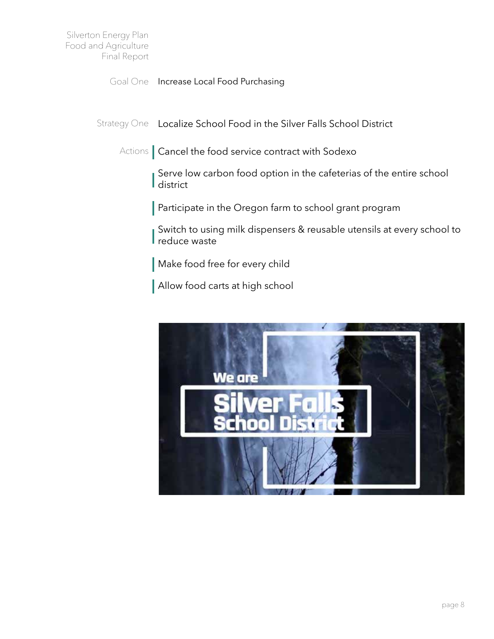Goal One **Increase Local Food Purchasing** 

Strategy One Localize School Food in the Silver Falls School District

Actions Cancel the food service contract with Sodexo

Serve low carbon food option in the cafeterias of the entire school | district

Participate in the Oregon farm to school grant program

Switch to using milk dispensers & reusable utensils at every school to reduce waste

Make food free for every child

Allow food carts at high school

![](_page_7_Picture_9.jpeg)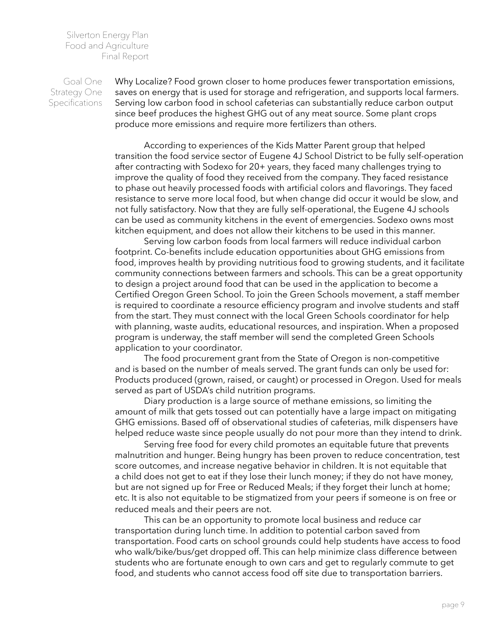Goal One Strategy One Specifications Why Localize? Food grown closer to home produces fewer transportation emissions, saves on energy that is used for storage and refrigeration, and supports local farmers. Serving low carbon food in school cafeterias can substantially reduce carbon output since beef produces the highest GHG out of any meat source. Some plant crops produce more emissions and require more fertilizers than others.

According to experiences of the Kids Matter Parent group that helped transition the food service sector of Eugene 4J School District to be fully self-operation after contracting with Sodexo for 20+ years, they faced many challenges trying to improve the quality of food they received from the company. They faced resistance to phase out heavily processed foods with artificial colors and flavorings. They faced resistance to serve more local food, but when change did occur it would be slow, and not fully satisfactory. Now that they are fully self-operational, the Eugene 4J schools can be used as community kitchens in the event of emergencies. Sodexo owns most kitchen equipment, and does not allow their kitchens to be used in this manner.

Serving low carbon foods from local farmers will reduce individual carbon footprint. Co-benefits include education opportunities about GHG emissions from food, improves health by providing nutritious food to growing students, and it facilitate community connections between farmers and schools. This can be a great opportunity to design a project around food that can be used in the application to become a Certified Oregon Green School. To join the Green Schools movement, a staff member is required to coordinate a resource efficiency program and involve students and staff from the start. They must connect with the local Green Schools coordinator for help with planning, waste audits, educational resources, and inspiration. When a proposed program is underway, the staff member will send the completed Green Schools application to your coordinator.

The food procurement grant from the State of Oregon is non-competitive and is based on the number of meals served. The grant funds can only be used for: Products produced (grown, raised, or caught) or processed in Oregon. Used for meals served as part of USDA's child nutrition programs.

Diary production is a large source of methane emissions, so limiting the amount of milk that gets tossed out can potentially have a large impact on mitigating GHG emissions. Based off of observational studies of cafeterias, milk dispensers have helped reduce waste since people usually do not pour more than they intend to drink.

Serving free food for every child promotes an equitable future that prevents malnutrition and hunger. Being hungry has been proven to reduce concentration, test score outcomes, and increase negative behavior in children. It is not equitable that a child does not get to eat if they lose their lunch money; if they do not have money, but are not signed up for Free or Reduced Meals; if they forget their lunch at home; etc. It is also not equitable to be stigmatized from your peers if someone is on free or reduced meals and their peers are not.

This can be an opportunity to promote local business and reduce car transportation during lunch time. In addition to potential carbon saved from transportation. Food carts on school grounds could help students have access to food who walk/bike/bus/get dropped off. This can help minimize class difference between students who are fortunate enough to own cars and get to regularly commute to get food, and students who cannot access food off site due to transportation barriers.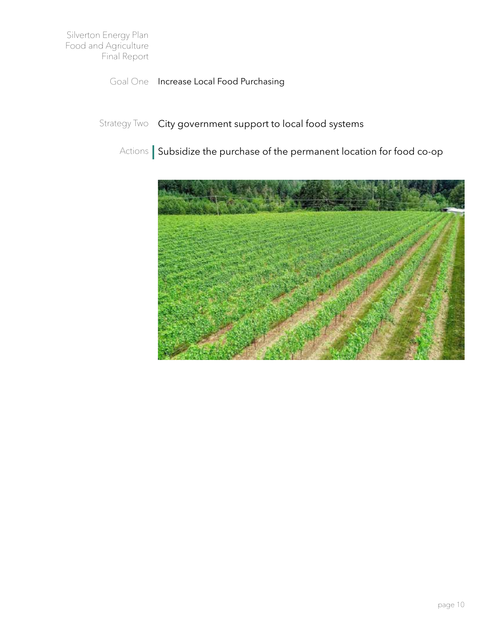Goal One **Increase Local Food Purchasing** 

Strategy Two City government support to local food systems

Actions Subsidize the purchase of the permanent location for food co-op

![](_page_9_Picture_4.jpeg)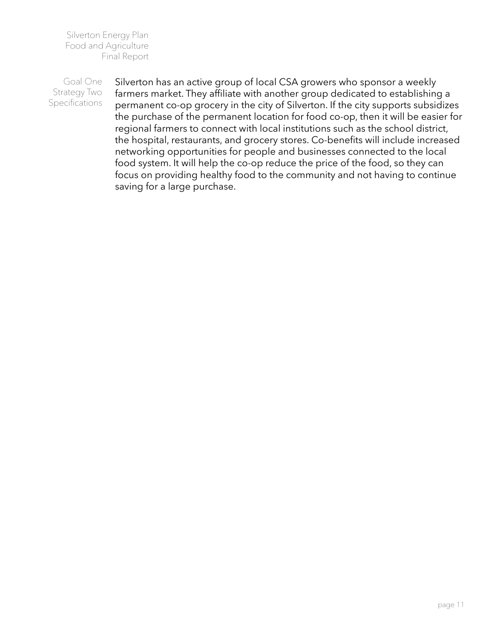Goal One Strategy Two **Specifications** 

Silverton has an active group of local CSA growers who sponsor a weekly farmers market. They affiliate with another group dedicated to establishing a permanent co-op grocery in the city of Silverton. If the city supports subsidizes the purchase of the permanent location for food co-op, then it will be easier for regional farmers to connect with local institutions such as the school district, the hospital, restaurants, and grocery stores. Co-benefits will include increased networking opportunities for people and businesses connected to the local food system. It will help the co-op reduce the price of the food, so they can focus on providing healthy food to the community and not having to continue saving for a large purchase.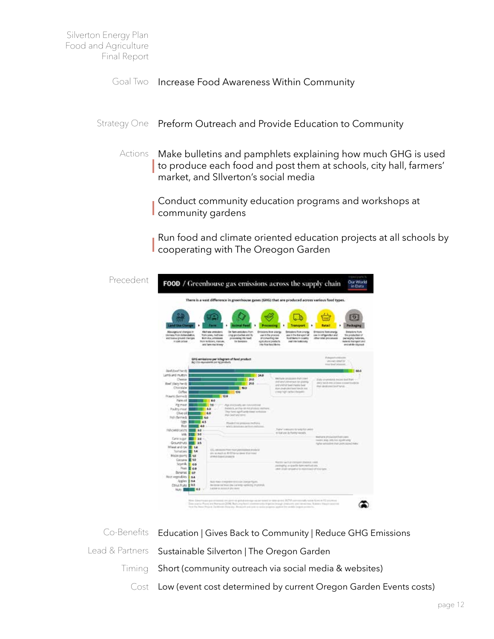- Goal Two Increase Food Awareness Within Community
- Strategy One Preform Outreach and Provide Education to Community
	- Actions Make bulletins and pamphlets explaining how much GHG is used to produce each food and post them at schools, city hall, farmers' market, and SIlverton's social media

Conduct community education programs and workshops at **Community gardens** 

Run food and climate oriented education projects at all schools by cooperating with The Oreogon Garden

| Precedent | and park is<br><b>Dur World</b><br>FOOD / Greenhouse gas emissions across the supply chain<br>in Data<br>There is a vast difference in greenhouse gases (GHG) that are produced across various food types.<br>$\Theta$<br>itur<br>di Dire Ch<br><b>Processing</b><br>Transport<br><b>Batall</b><br>Packagin<br>Allowagetund changes in<br>Methany weekens<br>On farm unrickers Fort-<br><b>Drinkes from energy</b><br><b>Drivalens Romanargy</b><br><b>Dressore from starge</b><br><b>Dealers fore</b><br>blumers flow delenyiation.<br>TOR COAL, TAITING<br>city production ent.fb<br>use in the process<br>and it the banaged of<br>use in rahigendition and<br>the production of<br>processing this land.<br><b>Bond Barry In Country</b><br><b><i>UPSI MIGI Mislangian</i></b><br>widthouse ground changes.<br>Britt dra pressons<br>of contacting rise<br>(reclamping meterining)<br>pad internationals<br><b>RUSSIAN</b><br><b>BUN MISSING, FORCIAL</b><br>to tweeze<br>Apricultural plottech:<br>mailwrist framatori prof.<br>and have matterway.<br>14 Ya fact Brin<br>and all its clipped |                                                                                                                                                                                                                                                                                                                                                                                                                                                                                                                              |                                                                                                                                                                                        |                                                                                                                                                                           |  |  |
|-----------|----------------------------------------------------------------------------------------------------------------------------------------------------------------------------------------------------------------------------------------------------------------------------------------------------------------------------------------------------------------------------------------------------------------------------------------------------------------------------------------------------------------------------------------------------------------------------------------------------------------------------------------------------------------------------------------------------------------------------------------------------------------------------------------------------------------------------------------------------------------------------------------------------------------------------------------------------------------------------------------------------------------------------------------------------------------------------------------------------|------------------------------------------------------------------------------------------------------------------------------------------------------------------------------------------------------------------------------------------------------------------------------------------------------------------------------------------------------------------------------------------------------------------------------------------------------------------------------------------------------------------------------|----------------------------------------------------------------------------------------------------------------------------------------------------------------------------------------|---------------------------------------------------------------------------------------------------------------------------------------------------------------------------|--|--|
|           | Deef Zwel Yerds<br>Lamb and mutton<br>Deepe<br>Deel' (dairy herch)<br>Chocolate<br>Coffee<br>Primarti (Serried)<br>Paim of                                                                                                                                                                                                                                                                                                                                                                                                                                                                                                                                                                                                                                                                                                                                                                                                                                                                                                                                                                         | GHS emissions per killegram of food product<br>Bg 102 represents per lig anniberts<br>24.6<br>29.0<br>210<br>19.3<br>the<br>12.0<br>8.0                                                                                                                                                                                                                                                                                                                                                                                      | <b>BACTUN ENGINEE PUR SINT</b><br>sind anythelesses for gradities<br>and shift for the product of the con-<br>\$500 Shell construction from the con-<br>press high certain floodeliti. | Palagost editions<br>Weren storts<br>FOLLY SIXET LAGUAGE.<br>60.5<br>Eidly crummands docum load Barr.<br>JRAY WAS ARE JOINED COMPANIES.<br>man allotticiast basif halves. |  |  |
|           | Pgmag<br>Paulby Peal<br>65<br>Dive of<br>6.0<br>Fight (Symbol)<br>5.0<br>1,825<br>4.5<br>Rus<br>44<br><b>Frith belief calumn</b><br>14<br>30 <sup>o</sup><br><b>MA</b><br>Cenrogan<br>34<br>Groundhuts<br>25<br>Missaturidinye <b>12 ta</b><br>Tortunions <b>SIF 14</b><br>Malte Accord & 10                                                                                                                                                                                                                                                                                                                                                                                                                                                                                                                                                                                                                                                                                                                                                                                                       | 70<br>Fight to tal Dynasty were non manufactured<br>Formstalk, sat three rate hold of struckilly electronics.<br>They have startfluently fower containing:<br>For being or sme.<br>Riggie/His president Halford,<br>WHI'S MANAGER OF THE PRESENT<br>LTG, approximed Poles meant panel distinct provided in<br>are as mark as \$5.07 level alrear than hotel<br>af vikis baked projects.                                                                                                                                      | Trather's release on domestic from percent<br>to harvest its freely records.                                                                                                           | Nethern Windowshirt Ports coasts<br>means and control monitorials<br>righer exhibition sharpests based many                                                               |  |  |
|           | Cantario <b>E 10</b><br>Start 1 09<br><b>FEAT &amp; 0.9</b><br>Bananas E-69<br>Root segriables   6.4<br>Apples   due<br>Colut fruits & did<br>Huts  <br><b>TOJ</b>                                                                                                                                                                                                                                                                                                                                                                                                                                                                                                                                                                                                                                                                                                                                                                                                                                                                                                                                 | AND NAH ETROPHER SEES HAT DARUP PLATS.<br>Incidence (or true) the (or with verticing Shattmak<br>3 (420) 9-January 21-816-4444<br>Now Sleethage are present in a profit to good animals to each tend to date alone BCM commercially solve form with promotion<br>Date wants Point and Ramscale DOM, Barburns hard a premier with Algeria Prough District for any term on Transit and any of a point<br>In at the News Water Cardinals Detected. Besides to a letter to waive in several points for could's longest problems. |                                                                                                                                                                                        | Record backup energies shakes in led<br>paraging or greefile funk restricts are<br>after shadi companied to responsively of following to                                  |  |  |

Co-Benefits Education | Gives Back to Community | Reduce GHG Emissions

Lead & Partners Sustainable Silverton | The Oregon Garden

- 
- Timing Short (community outreach via social media & websites)
	- Cost Low (event cost determined by current Oregon Garden Events costs)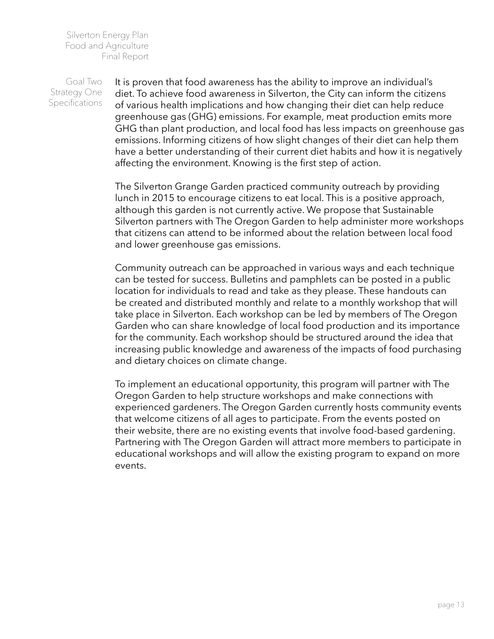Goal Two Strategy One **Specifications**  It is proven that food awareness has the ability to improve an individual's diet. To achieve food awareness in Silverton, the City can inform the citizens of various health implications and how changing their diet can help reduce greenhouse gas (GHG) emissions. For example, meat production emits more GHG than plant production, and local food has less impacts on greenhouse gas emissions. Informing citizens of how slight changes of their diet can help them have a better understanding of their current diet habits and how it is negatively affecting the environment. Knowing is the first step of action.

The Silverton Grange Garden practiced community outreach by providing lunch in 2015 to encourage citizens to eat local. This is a positive approach, although this garden is not currently active. We propose that Sustainable Silverton partners with The Oregon Garden to help administer more workshops that citizens can attend to be informed about the relation between local food and lower greenhouse gas emissions.

Community outreach can be approached in various ways and each technique can be tested for success. Bulletins and pamphlets can be posted in a public location for individuals to read and take as they please. These handouts can be created and distributed monthly and relate to a monthly workshop that will take place in Silverton. Each workshop can be led by members of The Oregon Garden who can share knowledge of local food production and its importance for the community. Each workshop should be structured around the idea that increasing public knowledge and awareness of the impacts of food purchasing and dietary choices on climate change.

To implement an educational opportunity, this program will partner with The Oregon Garden to help structure workshops and make connections with experienced gardeners. The Oregon Garden currently hosts community events that welcome citizens of all ages to participate. From the events posted on their website, there are no existing events that involve food-based gardening. Partnering with The Oregon Garden will attract more members to participate in educational workshops and will allow the existing program to expand on more events.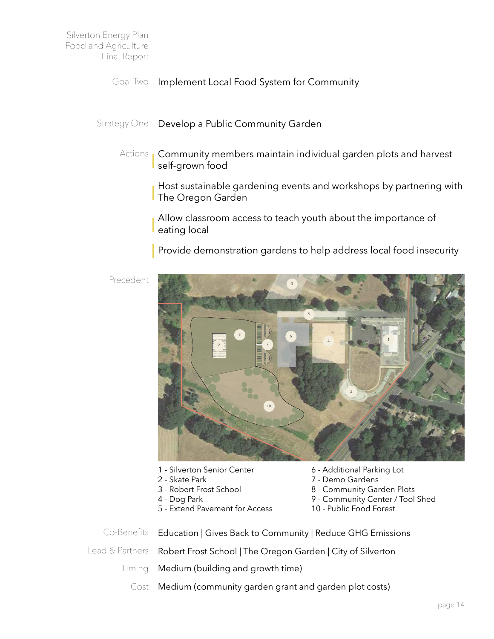- Goal Two Implement Local Food System for Community
- Strategy One Develop a Public Community Garden
	- Actions **Community members maintain individual garden plots and harvest** self-grown food
		- Host sustainable gardening events and workshops by partnering with The Oregon Garden
		- Allow classroom access to teach youth about the importance of eating local

Provide demonstration gardens to help address local food insecurity

Precedent

![](_page_13_Picture_8.jpeg)

- 1 Silverton Senior Center
- 2 Skate Park
- 3 Robert Frost School
- 4 Dog Park
- 5 Extend Pavement for Access
- 6 Additional Parking Lot
- 7 Demo Gardens
- 8 Community Garden Plots
- 9 Community Center / Tool Shed
- 10 Public Food Forest

Co-Benefits Education | Gives Back to Community | Reduce GHG Emissions

- Lead & Partners Robert Frost School | The Oregon Garden | City of Silverton
	- Timing Medium (building and growth time)
		- Cost Medium (community garden grant and garden plot costs)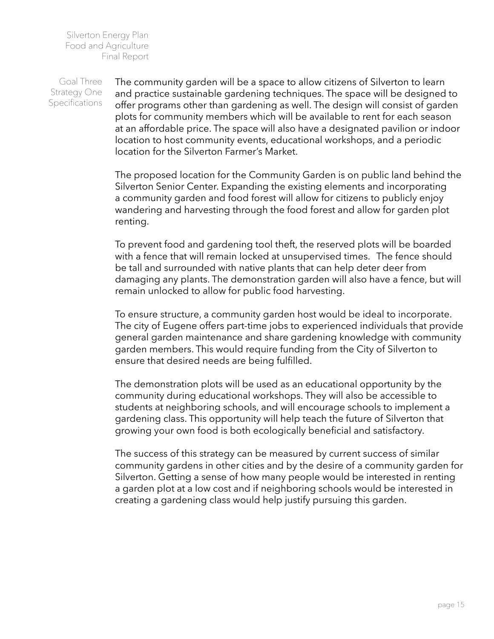Goal Three Strategy One **Specifications**  The community garden will be a space to allow citizens of Silverton to learn and practice sustainable gardening techniques. The space will be designed to offer programs other than gardening as well. The design will consist of garden plots for community members which will be available to rent for each season at an affordable price. The space will also have a designated pavilion or indoor location to host community events, educational workshops, and a periodic location for the Silverton Farmer's Market.

The proposed location for the Community Garden is on public land behind the Silverton Senior Center. Expanding the existing elements and incorporating a community garden and food forest will allow for citizens to publicly enjoy wandering and harvesting through the food forest and allow for garden plot renting.

To prevent food and gardening tool theft, the reserved plots will be boarded with a fence that will remain locked at unsupervised times. The fence should be tall and surrounded with native plants that can help deter deer from damaging any plants. The demonstration garden will also have a fence, but will remain unlocked to allow for public food harvesting.

To ensure structure, a community garden host would be ideal to incorporate. The city of Eugene offers part-time jobs to experienced individuals that provide general garden maintenance and share gardening knowledge with community garden members. This would require funding from the City of Silverton to ensure that desired needs are being fulfilled.

The demonstration plots will be used as an educational opportunity by the community during educational workshops. They will also be accessible to students at neighboring schools, and will encourage schools to implement a gardening class. This opportunity will help teach the future of Silverton that growing your own food is both ecologically beneficial and satisfactory.

The success of this strategy can be measured by current success of similar community gardens in other cities and by the desire of a community garden for Silverton. Getting a sense of how many people would be interested in renting a garden plot at a low cost and if neighboring schools would be interested in creating a gardening class would help justify pursuing this garden.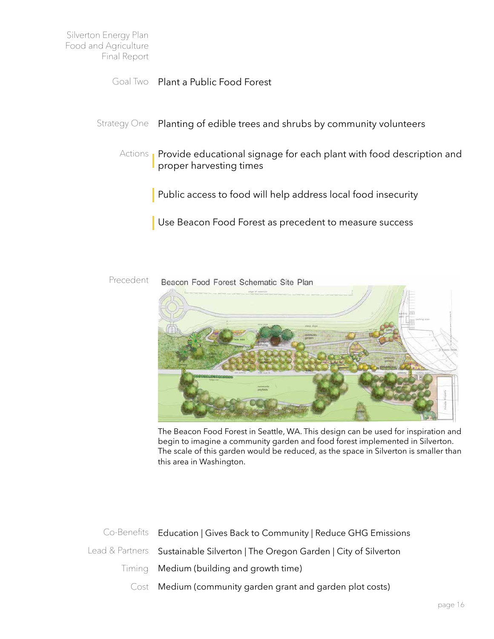Goal Two Plant a Public Food Forest

Planting of edible trees and shrubs by community volunteers Strategy One

Actions **Provide educational signage for each plant with food description and** proper harvesting times

Public access to food will help address local food insecurity

Use Beacon Food Forest as precedent to measure success

![](_page_15_Picture_6.jpeg)

The Beacon Food Forest in Seattle, WA. This design can be used for inspiration and begin to imagine a community garden and food forest implemented in Silverton. The scale of this garden would be reduced, as the space in Silverton is smaller than this area in Washington.

| Co-Benefits Education   Gives Back to Community   Reduce GHG Emissions        |
|-------------------------------------------------------------------------------|
| Lead & Partners Sustainable Silverton   The Oregon Garden   City of Silverton |
| Timing Medium (building and growth time)                                      |
| Cost Medium (community garden grant and garden plot costs)                    |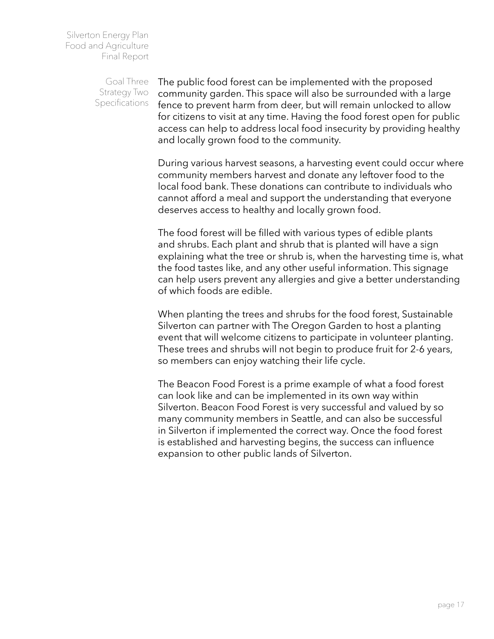> Goal Three Strategy Two Specifications

The public food forest can be implemented with the proposed community garden. This space will also be surrounded with a large fence to prevent harm from deer, but will remain unlocked to allow for citizens to visit at any time. Having the food forest open for public access can help to address local food insecurity by providing healthy and locally grown food to the community.

During various harvest seasons, a harvesting event could occur where community members harvest and donate any leftover food to the local food bank. These donations can contribute to individuals who cannot afford a meal and support the understanding that everyone deserves access to healthy and locally grown food.

The food forest will be filled with various types of edible plants and shrubs. Each plant and shrub that is planted will have a sign explaining what the tree or shrub is, when the harvesting time is, what the food tastes like, and any other useful information. This signage can help users prevent any allergies and give a better understanding of which foods are edible.

When planting the trees and shrubs for the food forest, Sustainable Silverton can partner with The Oregon Garden to host a planting event that will welcome citizens to participate in volunteer planting. These trees and shrubs will not begin to produce fruit for 2-6 years, so members can enjoy watching their life cycle.

The Beacon Food Forest is a prime example of what a food forest can look like and can be implemented in its own way within Silverton. Beacon Food Forest is very successful and valued by so many community members in Seattle, and can also be successful in Silverton if implemented the correct way. Once the food forest is established and harvesting begins, the success can influence expansion to other public lands of Silverton.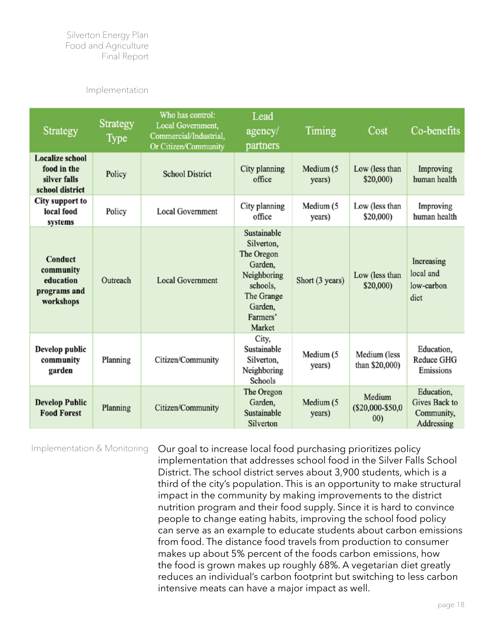Implementation

| <b>Strategy</b>                                                          | <b>Strategy</b><br><b>Type</b> | Who has control:<br>Local Government,<br>Commercial/Industrial,<br>Or Citizen/Community | Lead<br>agency/<br>partners                                                                                                  | Timing              | Cost                               | Co-benefits                                             |
|--------------------------------------------------------------------------|--------------------------------|-----------------------------------------------------------------------------------------|------------------------------------------------------------------------------------------------------------------------------|---------------------|------------------------------------|---------------------------------------------------------|
| <b>Localize school</b><br>food in the<br>silver falls<br>school district | Policy                         | <b>School District</b>                                                                  | City planning<br>office                                                                                                      | Medium (5<br>years) | Low (less than<br>\$20,000)        | Improving<br>human health                               |
| City support to<br>local food<br>systems                                 | Policy                         | <b>Local Government</b>                                                                 | City planning<br>office                                                                                                      | Medium (5<br>years) | Low (less than<br>\$20,000)        | Improving<br>human health                               |
| Conduct<br>community<br>education<br>programs and<br>workshops           | Outreach                       | <b>Local Government</b>                                                                 | Sustainable<br>Silverton,<br>The Oregon<br>Garden,<br>Neighboring<br>schools,<br>The Grange<br>Garden,<br>Farmers'<br>Market | Short (3 years)     | Low (less than<br>\$20,000)        | Increasing<br>local and<br>low-carbon<br>dict           |
| Develop public<br>community<br>garden                                    | Planning                       | Citizen/Community                                                                       | City,<br>Sustainable<br>Silverton,<br>Neighboring<br>Schools                                                                 | Medium (5<br>years) | Medium (less<br>than \$20,000)     | Education,<br>Reduce GHG<br>Emissions                   |
| <b>Develop Public</b><br><b>Food Forest</b>                              | Planning                       | Citizen/Community                                                                       | The Oregon<br>Garden,<br>Sustainable<br>Silverton                                                                            | Medium (5<br>years) | Medium<br>$($20,000-$50,0"$<br>00) | Education,<br>Gives Back to<br>Community,<br>Addressing |

Implementation & Monitoring Our goal to increase local food purchasing prioritizes policy implementation that addresses school food in the Silver Falls School District. The school district serves about 3,900 students, which is a third of the city's population. This is an opportunity to make structural impact in the community by making improvements to the district nutrition program and their food supply. Since it is hard to convince people to change eating habits, improving the school food policy can serve as an example to educate students about carbon emissions from food. The distance food travels from production to consumer makes up about 5% percent of the foods carbon emissions, how the food is grown makes up roughly 68%. A vegetarian diet greatly reduces an individual's carbon footprint but switching to less carbon intensive meats can have a major impact as well.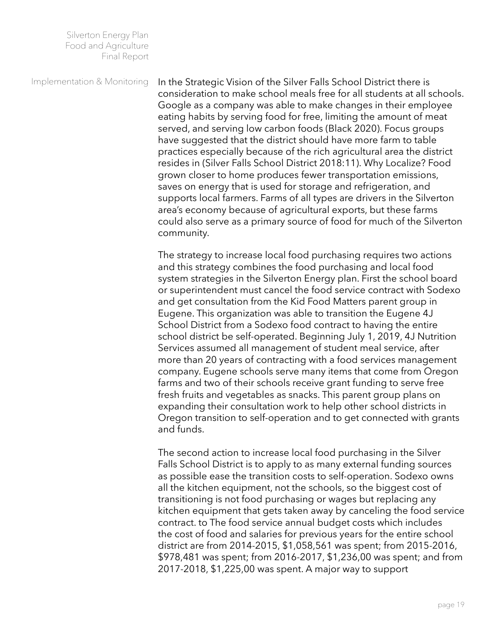Implementation & Monitoring In the Strategic Vision of the Silver Falls School District there is consideration to make school meals free for all students at all schools. Google as a company was able to make changes in their employee eating habits by serving food for free, limiting the amount of meat served, and serving low carbon foods (Black 2020). Focus groups have suggested that the district should have more farm to table practices especially because of the rich agricultural area the district resides in (Silver Falls School District 2018:11). Why Localize? Food grown closer to home produces fewer transportation emissions, saves on energy that is used for storage and refrigeration, and supports local farmers. Farms of all types are drivers in the Silverton area's economy because of agricultural exports, but these farms could also serve as a primary source of food for much of the Silverton community.

> The strategy to increase local food purchasing requires two actions and this strategy combines the food purchasing and local food system strategies in the Silverton Energy plan. First the school board or superintendent must cancel the food service contract with Sodexo and get consultation from the Kid Food Matters parent group in Eugene. This organization was able to transition the Eugene 4J School District from a Sodexo food contract to having the entire school district be self-operated. Beginning July 1, 2019, 4J Nutrition Services assumed all management of student meal service, after more than 20 years of contracting with a food services management company. Eugene schools serve many items that come from Oregon farms and two of their schools receive grant funding to serve free fresh fruits and vegetables as snacks. This parent group plans on expanding their consultation work to help other school districts in Oregon transition to self-operation and to get connected with grants and funds.

The second action to increase local food purchasing in the Silver Falls School District is to apply to as many external funding sources as possible ease the transition costs to self-operation. Sodexo owns all the kitchen equipment, not the schools, so the biggest cost of transitioning is not food purchasing or wages but replacing any kitchen equipment that gets taken away by canceling the food service contract. to The food service annual budget costs which includes the cost of food and salaries for previous years for the entire school district are from 2014-2015, \$1,058,561 was spent; from 2015-2016, \$978,481 was spent; from 2016-2017, \$1,236,00 was spent; and from 2017-2018, \$1,225,00 was spent. A major way to support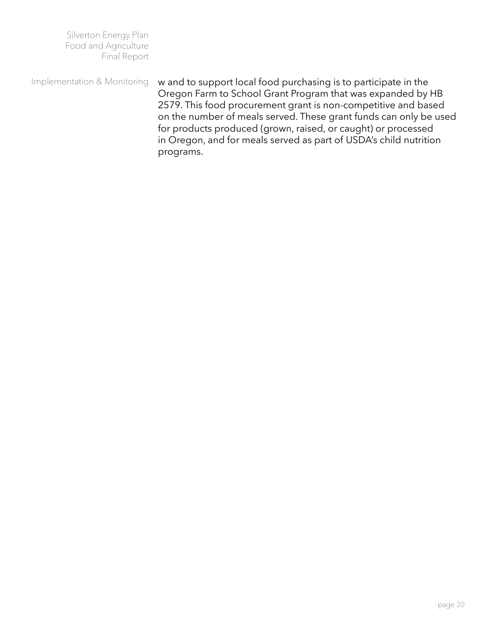w and to support local food purchasing is to participate in the Oregon Farm to School Grant Program that was expanded by HB 2579. This food procurement grant is non-competitive and based on the number of meals served. These grant funds can only be used for products produced (grown, raised, or caught) or processed in Oregon, and for meals served as part of USDA's child nutrition programs. Implementation & Monitoring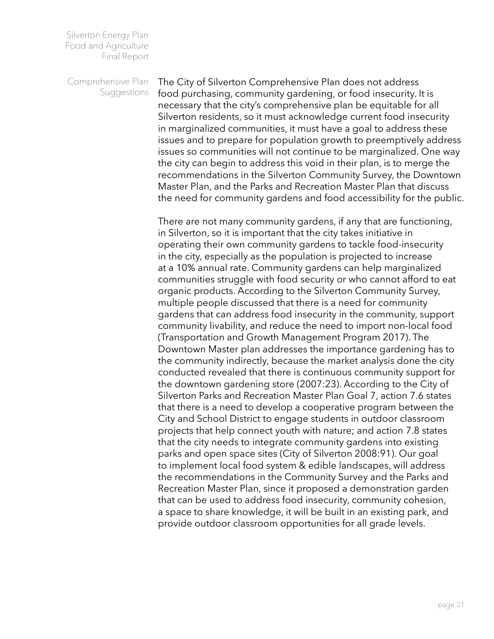Comprehensive Plan **Suggestions** 

The City of Silverton Comprehensive Plan does not address food purchasing, community gardening, or food insecurity. It is necessary that the city's comprehensive plan be equitable for all Silverton residents, so it must acknowledge current food insecurity in marginalized communities, it must have a goal to address these issues and to prepare for population growth to preemptively address issues so communities will not continue to be marginalized. One way the city can begin to address this void in their plan, is to merge the recommendations in the Silverton Community Survey, the Downtown Master Plan, and the Parks and Recreation Master Plan that discuss the need for community gardens and food accessibility for the public.

There are not many community gardens, if any that are functioning, in Silverton, so it is important that the city takes initiative in operating their own community gardens to tackle food-insecurity in the city, especially as the population is projected to increase at a 10% annual rate. Community gardens can help marginalized communities struggle with food security or who cannot afford to eat organic products. According to the Silverton Community Survey, multiple people discussed that there is a need for community gardens that can address food insecurity in the community, support community livability, and reduce the need to import non-local food (Transportation and Growth Management Program 2017). The Downtown Master plan addresses the importance gardening has to the community indirectly, because the market analysis done the city conducted revealed that there is continuous community support for the downtown gardening store (2007:23). According to the City of Silverton Parks and Recreation Master Plan Goal 7, action 7.6 states that there is a need to develop a cooperative program between the City and School District to engage students in outdoor classroom projects that help connect youth with nature; and action 7.8 states that the city needs to integrate community gardens into existing parks and open space sites (City of Silverton 2008:91). Our goal to implement local food system & edible landscapes, will address the recommendations in the Community Survey and the Parks and Recreation Master Plan, since it proposed a demonstration garden that can be used to address food insecurity, community cohesion, a space to share knowledge, it will be built in an existing park, and provide outdoor classroom opportunities for all grade levels.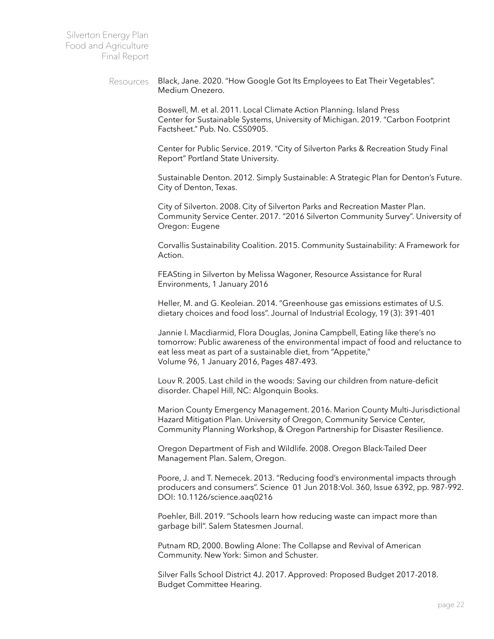Resources Black, Jane. 2020. "How Google Got Its Employees to Eat Their Vegetables". Medium Onezero.

> Boswell, M. et al. 2011. Local Climate Action Planning. Island Press Center for Sustainable Systems, University of Michigan. 2019. "Carbon Footprint Factsheet." Pub. No. CSS0905.

> Center for Public Service. 2019. "City of Silverton Parks & Recreation Study Final Report" Portland State University.

Sustainable Denton. 2012. Simply Sustainable: A Strategic Plan for Denton's Future. City of Denton, Texas.

City of Silverton. 2008. City of Silverton Parks and Recreation Master Plan. Community Service Center. 2017. "2016 Silverton Community Survey". University of Oregon: Eugene

Corvallis Sustainability Coalition. 2015. Community Sustainability: A Framework for Action.

FEASting in Silverton by Melissa Wagoner, Resource Assistance for Rural Environments, 1 January 2016

Heller, M. and G. Keoleian. 2014. "Greenhouse gas emissions estimates of U.S. dietary choices and food loss". Journal of Industrial Ecology, 19 (3): 391-401

Jannie I. Macdiarmid, Flora Douglas, Jonina Campbell, Eating like there's no tomorrow: Public awareness of the environmental impact of food and reluctance to eat less meat as part of a sustainable diet, from "Appetite," Volume 96, 1 January 2016, Pages 487-493.

Louv R. 2005. Last child in the woods: Saving our children from nature-deficit disorder. Chapel Hill, NC: Algonquin Books.

Marion County Emergency Management. 2016. Marion County Multi-Jurisdictional Hazard Mitigation Plan. University of Oregon, Community Service Center, Community Planning Workshop, & Oregon Partnership for Disaster Resilience.

Oregon Department of Fish and Wildlife. 2008. Oregon Black-Tailed Deer Management Plan. Salem, Oregon.

Poore, J. and T. Nemecek. 2013. "Reducing food's environmental impacts through producers and consumers". Science 01 Jun 2018:Vol. 360, Issue 6392, pp. 987-992. DOI: 10.1126/science.aaq0216

Poehler, Bill. 2019. "Schools learn how reducing waste can impact more than garbage bill". Salem Statesmen Journal.

Putnam RD, 2000. Bowling Alone: The Collapse and Revival of American Community. New York: Simon and Schuster.

Silver Falls School District 4J. 2017. Approved: Proposed Budget 2017-2018. Budget Committee Hearing.